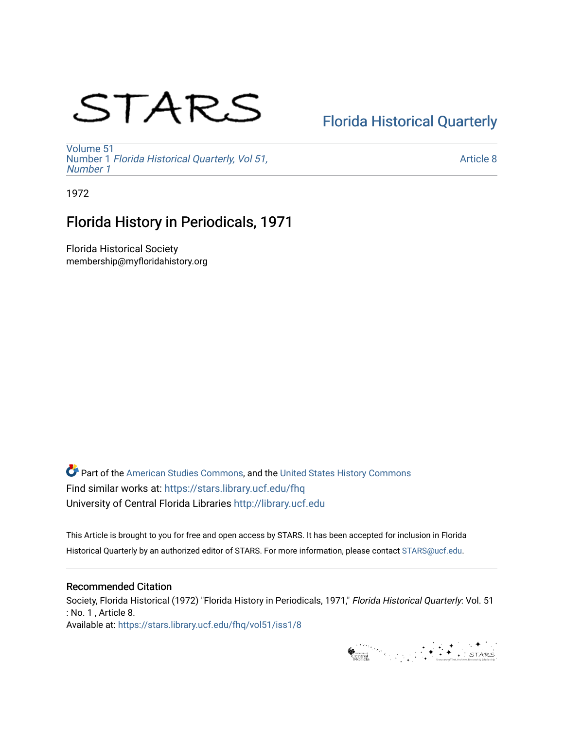# STARS

## [Florida Historical Quarterly](https://stars.library.ucf.edu/fhq)

[Volume 51](https://stars.library.ucf.edu/fhq/vol51) Number 1 [Florida Historical Quarterly, Vol 51,](https://stars.library.ucf.edu/fhq/vol51/iss1)  [Number 1](https://stars.library.ucf.edu/fhq/vol51/iss1)

[Article 8](https://stars.library.ucf.edu/fhq/vol51/iss1/8) 

1972

### Florida History in Periodicals, 1971

Florida Historical Society membership@myfloridahistory.org

**C** Part of the [American Studies Commons](http://network.bepress.com/hgg/discipline/439?utm_source=stars.library.ucf.edu%2Ffhq%2Fvol51%2Fiss1%2F8&utm_medium=PDF&utm_campaign=PDFCoverPages), and the United States History Commons Find similar works at: <https://stars.library.ucf.edu/fhq> University of Central Florida Libraries [http://library.ucf.edu](http://library.ucf.edu/) 

This Article is brought to you for free and open access by STARS. It has been accepted for inclusion in Florida Historical Quarterly by an authorized editor of STARS. For more information, please contact [STARS@ucf.edu.](mailto:STARS@ucf.edu)

#### Recommended Citation

Society, Florida Historical (1972) "Florida History in Periodicals, 1971," Florida Historical Quarterly: Vol. 51 : No. 1 , Article 8. Available at: [https://stars.library.ucf.edu/fhq/vol51/iss1/8](https://stars.library.ucf.edu/fhq/vol51/iss1/8?utm_source=stars.library.ucf.edu%2Ffhq%2Fvol51%2Fiss1%2F8&utm_medium=PDF&utm_campaign=PDFCoverPages) 

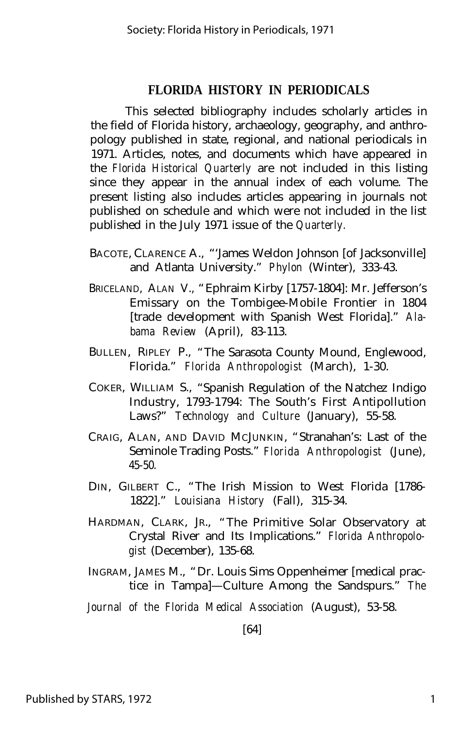#### **FLORIDA HISTORY IN PERIODICALS**

This selected bibliography includes scholarly articles in the field of Florida history, archaeology, geography, and anthropology published in state, regional, and national periodicals in 1971. Articles, notes, and documents which have appeared in the *Florida Historical Quarterly* are not included in this listing since they appear in the annual index of each volume. The present listing also includes articles appearing in journals not published on schedule and which were not included in the list published in the July 1971 issue of the *Quarterly.*

- BACOTE, CLARENCE A., "'James Weldon Johnson [of Jacksonville] and Atlanta University." *Phylon* (Winter), 333-43.
- BRICELAND, ALAN V., "Ephraim Kirby [1757-1804]: Mr. Jefferson's Emissary on the Tombigee-Mobile Frontier in 1804 [trade development with Spanish West Florida]." *Alabama Review* (April), 83-113.
- BULLEN, RIPLEY P., "The Sarasota County Mound, Englewood, Florida." *Florida Anthropologist* (March), 1-30.
- COKER, WILLIAM S., "Spanish Regulation of the Natchez Indigo Industry, 1793-1794: The South's First Antipollution Laws?" *Technology and Culture* (January), 55-58.
- CRAIG, ALAN, AND DAVID MCJUNKIN, "Stranahan's: Last of the Seminole Trading Posts." *Florida Anthropologist* (June), 45-50.
- DIN, GILBERT C., "The Irish Mission to West Florida [1786- 1822]." *Louisiana History* (Fall), 315-34.
- HARDMAN, CLARK, JR., "The Primitive Solar Observatory at Crystal River and Its Implications." *Florida Anthropologist* (December), 135-68.
- INGRAM, JAMES M., "Dr. Louis Sims Oppenheimer [medical practice in Tampa]— Culture Among the Sandspurs." *The*

*Journal of the Florida Medical Association* (August), 53-58.

[64]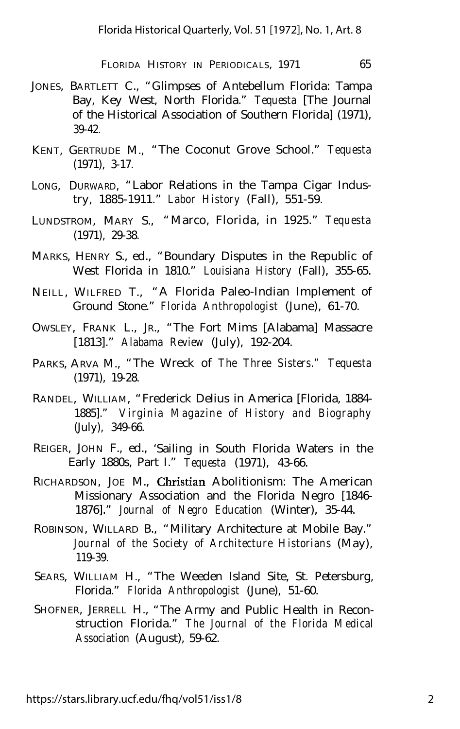FLORIDA HISTORY IN PERIODICALS, 1971 65

- JONES, BARTLETT C., "Glimpses of Antebellum Florida: Tampa Bay, Key West, North Florida." *Tequesta* [The Journal of the Historical Association of Southern Florida] (1971), 39-42.
- KENT, GERTRUDE M., "The Coconut Grove School." *Tequesta* (1971), 3-17.
- LONG, DURWARD, "Labor Relations in the Tampa Cigar Industry, 1885-1911." *Labor History* (Fall), 551-59.
- LUNDSTROM, MARY S., "Marco, Florida, in 1925." *Tequesta* (1971), 29-38.
- MARKS, HENRY S., ed., "Boundary Disputes in the Republic of West Florida in 1810." *Louisiana History* (Fall), 355-65.
- NEILL, WILFRED T., "A Florida Paleo-Indian Implement of Ground Stone." *Florida Anthropologist* (June), 61-70.
- OWSLEY, FRANK L., JR., "The Fort Mims [Alabama] Massacre [1813]." *Alabama Review* (July), 192-204.
- PARKS, ARVA M., "The Wreck of *The Three Sisters." Tequesta* (1971), 19-28.
- RANDEL, WILLIAM, "Frederick Delius in America [Florida, 1884- 1885]." *Virginia Magazine of History and Biography* (July), 349-66.
- REIGER, JOHN F., ed., 'Sailing in South Florida Waters in the Early 1880s, Part I." *Tequesta* (1971), 43-66.
- RICHARDSON, JOE M., Christian Abolitionism: The American Missionary Association and the Florida Negro [1846- 1876]." *Journal of Negro Education* (Winter), 35-44.
- ROBINSON, WILLARD B., "Military Architecture at Mobile Bay." *Journal of the Society of Architecture Historians* (May), 119-39.
- SEARS, WILLIAM H., "The Weeden Island Site, St. Petersburg, Florida." *Florida Anthropologist* (June), 51-60.
- SHOFNER, JERRELL H., "The Army and Public Health in Reconstruction Florida." *The Journal of the Florida Medical Association* (August), 59-62.